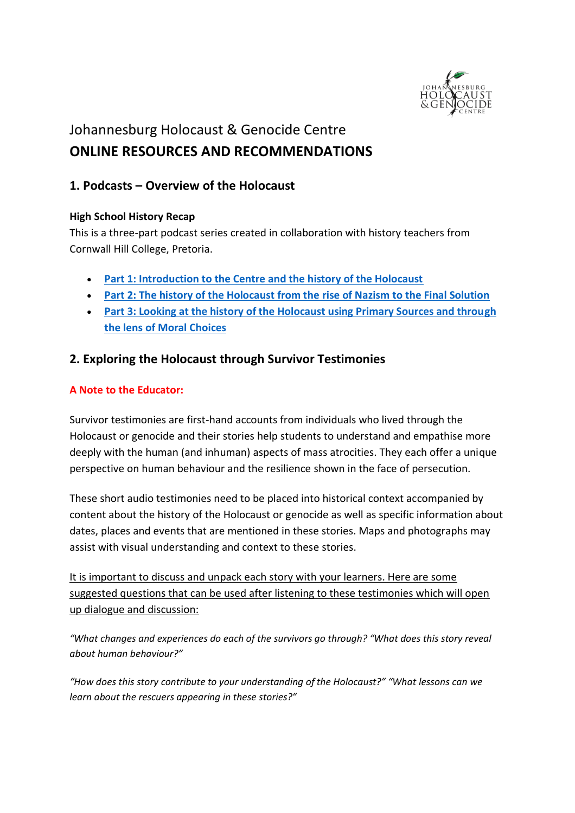

# Johannesburg Holocaust & Genocide Centre **ONLINE RESOURCES AND RECOMMENDATIONS**

# **1. Podcasts – Overview of the Holocaust**

## **High School History Recap**

This is a three-part podcast series created in collaboration with history teachers from Cornwall Hill College, Pretoria.

- **[Part 1: Introduction to the Centre and the history of the Holocaust](https://www.buzzsprout.com/944875/4052309-32-the-holocaust-series-part-1-with-tali-nates-catherine-boyd-and-mduduzi-ntuli)**
- **[Part 2: The history of the Holocaust from the](https://www.buzzsprout.com/944875/4130441-34-the-holocaust-series-part-2-with-tali-nates-catherine-boyd-and-mduduzi-ntuli) rise of Nazism to the Final Solution**
- **[Part 3: Looking at the history of the Holocaust using Primary Sources and through](https://www.buzzsprout.com/944875/4301237-38-the-holocaust-series-part-3-with-tali-nates-catherine-boyd-and-mduduzi-ntuli)  [the lens of Moral Choices](https://www.buzzsprout.com/944875/4301237-38-the-holocaust-series-part-3-with-tali-nates-catherine-boyd-and-mduduzi-ntuli)**

## **2. Exploring the Holocaust through Survivor Testimonies**

## **A Note to the Educator:**

Survivor testimonies are first-hand accounts from individuals who lived through the Holocaust or genocide and their stories help students to understand and empathise more deeply with the human (and inhuman) aspects of mass atrocities. They each offer a unique perspective on human behaviour and the resilience shown in the face of persecution.

These short audio testimonies need to be placed into historical context accompanied by content about the history of the Holocaust or genocide as well as specific information about dates, places and events that are mentioned in these stories. Maps and photographs may assist with visual understanding and context to these stories.

It is important to discuss and unpack each story with your learners. Here are some suggested questions that can be used after listening to these testimonies which will open up dialogue and discussion:

*"What changes and experiences do each of the survivors go through? "What does this story reveal about human behaviour?"*

*"How does this story contribute to your understanding of the Holocaust?" "What lessons can we learn about the rescuers appearing in these stories?"*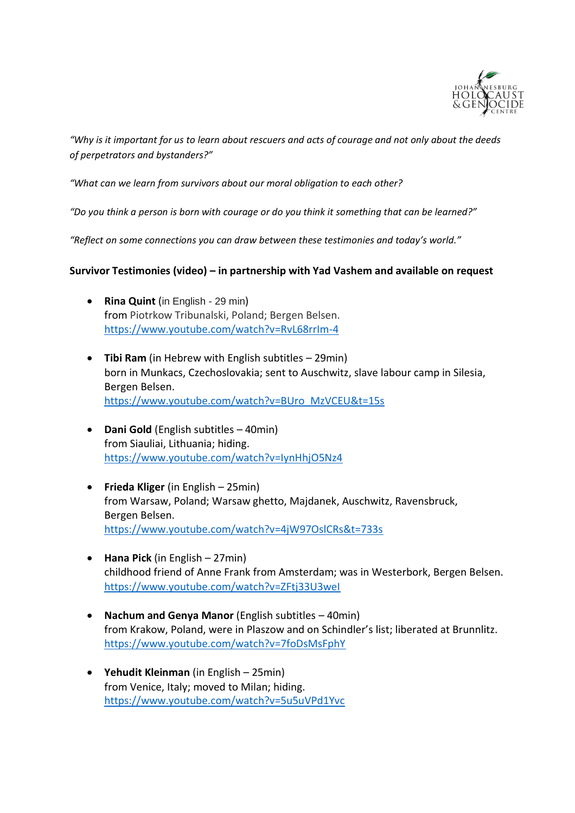

*"Why is it important for us to learn about rescuers and acts of courage and not only about the deeds of perpetrators and bystanders?"* 

*"What can we learn from survivors about our moral obligation to each other?*

*"Do you think a person is born with courage or do you think it something that can be learned?"*

*"Reflect on some connections you can draw between these testimonies and today's world."*

## **Survivor Testimonies (video) – in partnership with Yad Vashem and available on request**

- **Rina Quint** (in English 29 min) from Piotrkow Tribunalski, Poland; Bergen Belsen. <https://www.youtube.com/watch?v=RvL68rrIm-4>
- **Tibi Ram** (in Hebrew with English subtitles 29min) born in Munkacs, Czechoslovakia; sent to Auschwitz, slave labour camp in Silesia, Bergen Belsen. [https://www.youtube.com/watch?v=BUro\\_MzVCEU&t=15s](https://www.youtube.com/watch?v=BUro_MzVCEU&t=15s)
- **Dani Gold** (English subtitles 40min) from Siauliai, Lithuania; hiding. <https://www.youtube.com/watch?v=IynHhjO5Nz4>
- **Frieda Kliger** (in English 25min) from Warsaw, Poland; Warsaw ghetto, Majdanek, Auschwitz, Ravensbruck, Bergen Belsen. <https://www.youtube.com/watch?v=4jW97OslCRs&t=733s>
- **Hana Pick** (in English 27min) childhood friend of Anne Frank from Amsterdam; was in Westerbork, Bergen Belsen. <https://www.youtube.com/watch?v=ZFtj33U3weI>
- **Nachum and Genya Manor** (English subtitles 40min) from Krakow, Poland, were in Plaszow and on Schindler's list; liberated at Brunnlitz. <https://www.youtube.com/watch?v=7foDsMsFphY>
- **Yehudit Kleinman** (in English 25min) from Venice, Italy; moved to Milan; hiding. <https://www.youtube.com/watch?v=5u5uVPd1Yvc>